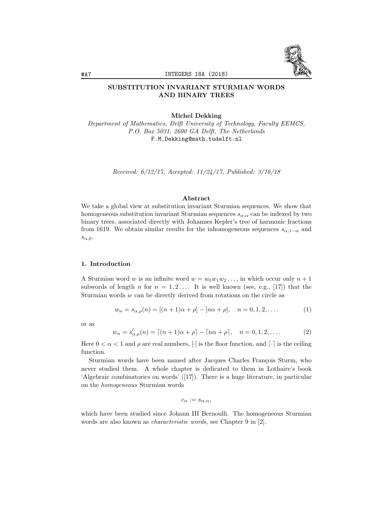

# SUBSTITUTION INVARIANT STURMIAN WORDS AND BINARY TREES

Michel Dekking

*Department of Mathematics, Delft University of Technology, Faculty EEMCS, P.O. Box 5031, 2600 GA Delft, The Netherlands* F.M.Dekking@math.tudelft.nl

*Received: 6/12/17, Accepted: 11/24/17, Published: 3/16/18*

#### Abstract

We take a global view at substitution invariant Sturmian sequences. We show that homogeneous substitution invariant Sturmian sequences  $s_{\alpha,\alpha}$  can be indexed by two binary trees, associated directly with Johannes Kepler's tree of harmonic fractions from 1619. We obtain similar results for the inhomogeneous sequences  $s_{\alpha,1-\alpha}$  and *s*α*,*0.

### 1. Introduction

A Sturmian word *w* is an infinite word  $w = w_0w_1w_2 \ldots$ , in which occur only  $n+1$ subwords of length *n* for  $n = 1, 2, \ldots$  It is well known (see, e.g., [17]) that the Sturmian words *w* can be directly derived from rotations on the circle as

$$
w_n = s_{\alpha,\rho}(n) = [(n+1)\alpha + \rho] - [n\alpha + \rho], \quad n = 0, 1, 2, \dots
$$
 (1)

or as

$$
w_n = s'_{\alpha,\rho}(n) = [(n+1)\alpha + \rho] - [n\alpha + \rho], \quad n = 0, 1, 2, .... \tag{2}
$$

Here  $0 < \alpha < 1$  and  $\rho$  are real numbers,  $[\cdot]$  is the floor function, and  $[\cdot]$  is the ceiling function.

Sturmian words have been named after Jacques Charles François Sturm, who never studied them. A whole chapter is dedicated to them in Lothaire's book 'Algebraic combinatorics on words' ([17]). There is a huge literature, in particular on the *homogeneous* Sturmian words

$$
c_{\alpha}:=s_{\alpha,\alpha},
$$

which have been studied since Johann III Bernoulli. The homogeneous Sturmian words are also known as *characteristic words*, see Chapter 9 in [2].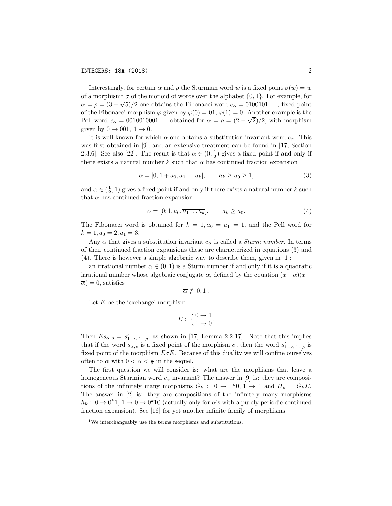Interestingly, for certain  $\alpha$  and  $\rho$  the Sturmian word *w* is a fixed point  $\sigma(w) = w$ of a morphism<sup>1</sup>  $\sigma$  of the monoid of words over the alphabet  $\{0, 1\}$ . For example, for  $\alpha = \rho = (3 - \sqrt{5})/2$  one obtains the Fibonacci word  $c_{\alpha} = 0100101...$ , fixed point of the Fibonacci morphism  $\varphi$  given by  $\varphi(0) = 0.$ ,  $\varphi(1) = 0$ . Another example is the Pell word  $c_{\alpha} = 0010010001...$  obtained for  $\alpha = \rho = (2 - \sqrt{2})/2$ , with morphism given by  $0 \rightarrow 001, 1 \rightarrow 0$ .

It is well known for which  $\alpha$  one obtains a substitution invariant word  $c_{\alpha}$ . This was first obtained in [9], and an extensive treatment can be found in [17, Section 2.3.6]. See also [22]. The result is that  $\alpha \in (0, \frac{1}{2})$  gives a fixed point if and only if there exists a natural number  $k$  such that  $\alpha$  has continued fraction expansion

$$
\alpha = [0; 1 + a_0, \overline{a_1 \dots a_k}], \qquad a_k \ge a_0 \ge 1,
$$
\n(3)

and  $\alpha \in (\frac{1}{2}, 1)$  gives a fixed point if and only if there exists a natural number k such that  $\alpha$  has continued fraction expansion

$$
\alpha = [0; 1, a_0, \overline{a_1 \dots a_k}], \qquad a_k \ge a_0. \tag{4}
$$

The Fibonacci word is obtained for  $k = 1, a_0 = a_1 = 1$ , and the Pell word for  $k = 1, a_0 = 2, a_1 = 3.$ 

Any  $\alpha$  that gives a substitution invariant  $c_{\alpha}$  is called a *Sturm number*. In terms of their continued fraction expansions these are characterized in equations (3) and (4). There is however a simple algebraic way to describe them, given in [1]:

an irrational number  $\alpha \in (0, 1)$  is a Sturm number if and only if it is a quadratic irrational number whose algebraic conjugate  $\overline{\alpha}$ , defined by the equation  $(x - \alpha)(x - \alpha)$  $\overline{\alpha}$ ) = 0, satisfies

$$
\overline{\alpha} \notin [0,1].
$$

Let *E* be the 'exchange' morphism

$$
E: \ \left\{ \begin{matrix} 0 \to 1 \\ 1 \to 0 \end{matrix} \right.
$$

Then  $Es_{\alpha,\rho} = s'_{1-\alpha,1-\rho}$ , as shown in [17, Lemma 2.2.17]. Note that this implies that if the word  $s_{\alpha,\rho}$  is a fixed point of the morphism  $\sigma$ , then the word  $s'_{1-\alpha,1-\rho}$  is fixed point of the morphism  $E \sigma E$ . Because of this duality we will confine ourselves often to  $\alpha$  with  $0 < \alpha < \frac{1}{2}$  in the sequel.

The first question we will consider is: what are the morphisms that leave a homogeneous Sturmian word  $c_{\alpha}$  invariant? The answer in [9] is: they are compositions of the infinitely many morphisms  $G_k$ :  $0 \rightarrow 1^k 0, 1 \rightarrow 1$  and  $H_k = G_k E$ . The answer in [2] is: they are compositions of the infinitely many morphisms  $h_k: 0 \to 0^k 1$ ,  $1 \to 0 \to 0^k 10$  (actually only for  $\alpha$ 's with a purely periodic continued fraction expansion). See [16] for yet another infinite family of morphisms.

<sup>&</sup>lt;sup>1</sup>We interchangeably use the terms morphisms and substitutions.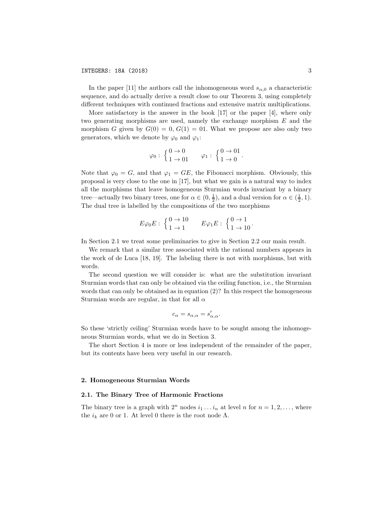In the paper [11] the authors call the inhomogeneous word  $s_{\alpha,0}$  a characteristic sequence, and do actually derive a result close to our Theorem 3, using completely different techniques with continued fractions and extensive matrix multiplications.

More satisfactory is the answer in the book [17] or the paper [4], where only two generating morphisms are used, namely the exchange morphism *E* and the morphism *G* given by  $G(0) = 0$ ,  $G(1) = 01$ . What we propose are also only two generators, which we denote by  $\varphi_0$  and  $\varphi_1$ :

$$
\varphi_0: \begin{cases} 0 \to 0 \\ 1 \to 01 \end{cases} \qquad \varphi_1: \begin{cases} 0 \to 01 \\ 1 \to 0 \end{cases}.
$$

Note that  $\varphi_0 = G$ , and that  $\varphi_1 = GE$ , the Fibonacci morphism. Obviously, this proposal is very close to the one in [17], but what we gain is a natural way to index all the morphisms that leave homogeneous Sturmian words invariant by a binary tree—actually two binary trees, one for  $\alpha \in (0, \frac{1}{2})$ , and a dual version for  $\alpha \in (\frac{1}{2}, 1)$ . The dual tree is labelled by the compositions of the two morphisms

$$
E\varphi_0 E: \begin{cases} 0 \to 10 \\ 1 \to 1 \end{cases} E\varphi_1 E: \begin{cases} 0 \to 1 \\ 1 \to 10 \end{cases}.
$$

In Section 2.1 we treat some preliminaries to give in Section 2.2 our main result.

We remark that a similar tree associated with the rational numbers appears in the work of de Luca [18, 19]. The labeling there is not with morphisms, but with words.

The second question we will consider is: what are the substitution invariant Sturmian words that can only be obtained via the ceiling function, i.e., the Sturmian words that can only be obtained as in equation (2)? In this respect the homogeneous Sturmian words are regular, in that for all  $\alpha$ 

$$
c_{\alpha}=s_{\alpha,\alpha}=s'_{\alpha,\alpha}.
$$

So these 'strictly ceiling' Sturmian words have to be sought among the inhomogeneous Sturmian words, what we do in Section 3.

The short Section 4 is more or less independent of the remainder of the paper, but its contents have been very useful in our research.

#### 2. Homogeneous Sturmian Words

### 2.1. The Binary Tree of Harmonic Fractions

The binary tree is a graph with  $2^n$  nodes  $i_1 \ldots i_n$  at level *n* for  $n = 1, 2, \ldots$ , where the  $i_k$  are 0 or 1. At level 0 there is the root node Λ.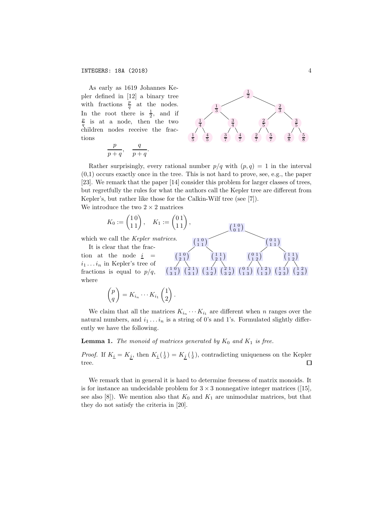As early as 1619 Johannes Kepler defined in [12] a binary tree with fractions  $\frac{p}{q}$  at the nodes. In the root there is  $\frac{1}{2}$ , and if  $\frac{p}{p}$  is at a node, then the two  $\frac{p}{q}$  is at a node, then the two children nodes receive the fractions

$$
\frac{p}{p+q}, \quad \frac{q}{p+q}.
$$



 $\begin{pmatrix} 1 & 0 \\ 0 & 1 \end{pmatrix}$  $\begin{smallmatrix} 1 & 0 \\ 0 & 1 \end{smallmatrix}$ 

> $(0, 1)$  $\binom{0}{1}$

> > $\left( \frac{1}{2} \right)$  $\begin{smallmatrix} 1 & 1 \\ 1 & 2 \end{smallmatrix}$

 $\binom{1}{ }$  $\begin{smallmatrix} 1 & 1 \ 2 & 3 \end{smallmatrix}$   $\begin{smallmatrix} 1 & 2 \ 2 & 3 \end{smallmatrix}$  $\begin{smallmatrix} 1 & 2 \ 2 & 3 \end{smallmatrix}$ 

 $\begin{pmatrix} 0 & 1 \\ 1 & 2 \end{pmatrix}$  $\binom{0}{1} \binom{1}{2}$ 

 $(0, 1)$  $\begin{smallmatrix} 0 & 1 \ 1 & 3 \end{smallmatrix}$   $\begin{smallmatrix} 1 & 2 \ 1 & 3 \end{smallmatrix}$  $\binom{1}{1 \ 3}$ 

Rather surprisingly, every rational number  $p/q$  with  $(p, q) = 1$  in the interval  $(0,1)$  occurs exactly once in the tree. This is not hard to prove, see, e.g., the paper [23]. We remark that the paper [14] consider this problem for larger classes of trees, but regretfully the rules for what the authors call the Kepler tree are different from Kepler's, but rather like those for the Calkin-Wilf tree (see [7]). We introduce the two  $2 \times 2$  matrices

 $\left(\begin{smallmatrix} 1 & 0 \\ 1 & 1 \end{smallmatrix}\right)$ 

 $\left( \frac{1}{2} \right)$  $\binom{1}{2}$ 

 $\left( \frac{1}{2} \right)$  $\begin{smallmatrix} 1 & 1 \ 3 & 2 \end{smallmatrix}$   $\begin{smallmatrix} 2 & 1 \ 3 & 2 \end{smallmatrix}$  $\begin{smallmatrix} 2 & 1\ 3 & 2 \end{smallmatrix}$ 

$$
K_0:=\begin{pmatrix}1\,0\\1\,1\end{pmatrix},\quad K_1:=\begin{pmatrix}0\,1\\1\,1\end{pmatrix},
$$

which we call the *Kepler matrices*.

It is clear that the fraction at the node  $i =$  $i_1 \ldots i_n$  in Kepler's tree of fractions is equal to  $p/q$ , where

$$
\begin{pmatrix} p \\ q \end{pmatrix} = K_{i_n} \cdots K_{i_1} \begin{pmatrix} 1 \\ 2 \end{pmatrix}.
$$

We claim that all the matrices  $K_{i_n} \cdots K_{i_1}$  are different when *n* ranges over the natural numbers, and  $i_1 \ldots i_n$  is a string of 0's and 1's. Formulated slightly differently we have the following.

**Lemma 1.** *The monoid of matrices generated by*  $K_0$  *and*  $K_1$  *is free.* 

 $\begin{pmatrix} 1 & 0 \\ 0 & 1 \end{pmatrix}$  $\binom{1 \ 0}{2 \ 1}$ 

 $(10$  $\begin{smallmatrix} 1 & 0 \\ 3 & 1 \end{smallmatrix}$   $\begin{smallmatrix} 2 & 1 \\ 3 & 1 \end{smallmatrix}$  $\begin{smallmatrix} 2 & 1 \ 3 & 1 \end{smallmatrix}$ 

*Proof.* If  $K_{\underline{i}} = K_{\underline{j}}$ , then  $K_{\underline{i}}(\frac{1}{2}) = K_{\underline{j}}(\frac{1}{2})$ , contradicting uniqueness on the Kepler tree.  $\Box$ 

We remark that in general it is hard to determine freeness of matrix monoids. It is for instance an undecidable problem for  $3 \times 3$  nonnegative integer matrices ([15], see also [8]). We mention also that  $K_0$  and  $K_1$  are unimodular matrices, but that they do not satisfy the criteria in [20].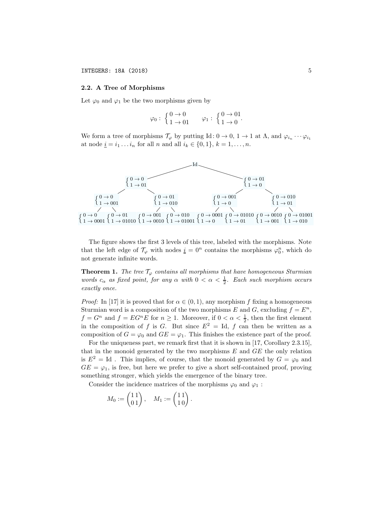## 2.2. A Tree of Morphisms

Let  $\varphi_0$  and  $\varphi_1$  be the two morphisms given by

$$
\varphi_0: \begin{cases} 0 \to 0 \\ 1 \to 01 \end{cases} \qquad \varphi_1: \begin{cases} 0 \to 01 \\ 1 \to 0 \end{cases}.
$$

We form a tree of morphisms  $\mathcal{T}_{\varphi}$  by putting Id:  $0 \to 0$ ,  $1 \to 1$  at  $\Lambda$ , and  $\varphi_{i_n} \cdots \varphi_{i_1}$ at node  $\underline{i} = i_1 \dots i_n$  for all *n* and all  $i_k \in \{0, 1\}, k = 1, \dots, n$ .



The figure shows the first 3 levels of this tree, labeled with the morphisms. Note that the left edge of  $\mathcal{T}_{\varphi}$  with nodes  $\underline{i} = 0^n$  contains the morphisms  $\varphi_0^n$ , which do not generate infinite words.

**Theorem 1.** *The tree*  $\mathcal{T}_{\varphi}$  *contains all morphisms that have homogeneous Sturmian words*  $c_{\alpha}$  *as fixed point, for any*  $\alpha$  *with*  $0 < \alpha < \frac{1}{2}$ *. Each such morphism occurs exactly once.*

*Proof:* In [17] it is proved that for  $\alpha \in (0, 1)$ , any morphism f fixing a homogeneous Sturmian word is a composition of the two morphisms *E* and *G*, excluding  $f = E^n$ ,  $f = G^n$  and  $f = EG^nE$  for  $n \ge 1$ . Moreover, if  $0 < \alpha < \frac{1}{2}$ , then the first element in the composition of *f* is *G*. But since  $E^2 = Id$ , *f* can then be written as a composition of  $G = \varphi_0$  and  $GE = \varphi_1$ . This finishes the existence part of the proof.

For the uniqueness part, we remark first that it is shown in [17, Corollary 2.3.15], that in the monoid generated by the two morphisms *E* and *GE* the only relation is  $E^2 = Id$ . This implies, of course, that the monoid generated by  $G = \varphi_0$  and  $GE = \varphi_1$ , is free, but here we prefer to give a short self-contained proof, proving something stronger, which yields the emergence of the binary tree.

Consider the incidence matrices of the morphisms  $\varphi_0$  and  $\varphi_1$ :

$$
M_0:=\begin{pmatrix}1\,1\\0\,1\end{pmatrix},\quad M_1:=\begin{pmatrix}1\,1\\1\,0\end{pmatrix}.
$$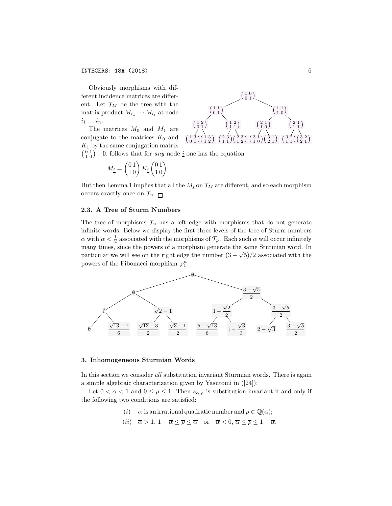Obviously morphisms with different incidence matrices are different. Let  $\mathcal{T}_M$  be the tree with the matrix product  $M_{i_n} \cdots M_{i_1}$  at node  $i_1 \ldots i_n$ .

The matrices  $M_0$  and  $M_1$  are conjugate to the matrices  $K_0$  and *K*<sup>1</sup> by the same conjugation matrix



But then Lemma 1 implies that all the  $M_i$  on  $\mathcal{T}_M$  are different, and so each morphism occurs exactly once on  $\mathcal{T}_{\varphi}$ .

#### 2.3. A Tree of Sturm Numbers

The tree of morphisms  $\mathcal{T}_{\varphi}$  has a left edge with morphisms that do not generate infinite words. Below we display the first three levels of the tree of Sturm numbers  $\alpha$  with  $\alpha < \frac{1}{2}$  associated with the morphisms of  $\mathcal{T}_{\varphi}$ . Each such  $\alpha$  will occur infinitely many times, since the powers of a morphism generate the same Sturmian word. In particular we will see on the right edge the number  $(3 - \sqrt{5})/2$  associated with the powers of the Fibonacci morphism  $\varphi_1^n$ .



#### 3. Inhomogeneous Sturmian Words

In this section we consider *all* substitution invariant Sturmian words. There is again a simple algebraic characterization given by Yasutomi in ([24]):

Let  $0 < \alpha < 1$  and  $0 \le \rho \le 1$ . Then  $s_{\alpha,\rho}$  is substitution invariant if and only if the following two conditions are satisfied:

- (*i*)  $\alpha$  is an irrational quadratic number and  $\rho \in \mathbb{Q}(\alpha)$ ;
- (*ii*)  $\overline{\alpha} > 1, 1 \overline{\alpha} \leq \overline{\rho} \leq \overline{\alpha}$  or  $\overline{\alpha} < 0, \overline{\alpha} \leq \overline{\rho} \leq 1 \overline{\alpha}$ .

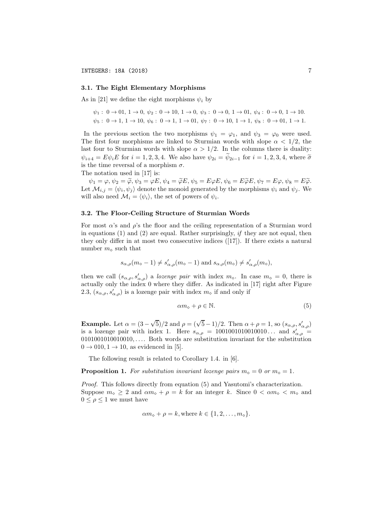#### 3.1. The Eight Elementary Morphisms

As in [21] we define the eight morphisms  $\psi_i$  by

$$
\psi_1: 0 \to 01, 1 \to 0, \psi_2: 0 \to 10, 1 \to 0, \psi_3: 0 \to 0, 1 \to 01, \psi_4: 0 \to 0, 1 \to 10.
$$
  

$$
\psi_5: 0 \to 1, 1 \to 10, \psi_6: 0 \to 1, 1 \to 01, \psi_7: 0 \to 10, 1 \to 1, \psi_8: 0 \to 01, 1 \to 1.
$$

In the previous section the two morphisms  $\psi_1 = \varphi_1$ , and  $\psi_3 = \varphi_0$  were used. The first four morphisms are linked to Sturmian words with slope  $\alpha < 1/2$ , the last four to Sturmian words with slope  $\alpha > 1/2$ . In the columns there is duality:  $\psi_{i+4} = E \psi_i E$  for  $i = 1, 2, 3, 4$ . We also have  $\psi_{2i} = \psi_{2i-1}$  for  $i = 1, 2, 3, 4$ , where  $\tilde{\sigma}$ is the time reversal of a morphism  $\sigma$ .

The notation used in [17] is:

 $\psi_1 = \varphi, \psi_2 = \widetilde{\varphi}, \psi_3 = \varphi E, \psi_4 = \widetilde{\varphi}E, \psi_5 = E\varphi E, \psi_6 = E\widetilde{\varphi}E, \psi_7 = E\varphi, \psi_8 = E\widetilde{\varphi}.$ Let  $\mathcal{M}_{i,j} = \langle \psi_i, \psi_j \rangle$  denote the monoid generated by the morphisms  $\psi_i$  and  $\psi_j$ . We will also need  $\mathcal{M}_i = \langle \psi_i \rangle$ , the set of powers of  $\psi_i$ .

#### 3.2. The Floor-Ceiling Structure of Sturmian Words

For most  $\alpha$ 's and  $\rho$ 's the floor and the ceiling representation of a Sturmian word in equations (1) and (2) are equal. Rather surprisingly, *if* they are not equal, then they only differ in at most two consecutive indices ([17]). If there exists a natural number  $m_$  ∞ such that

$$
s_{\alpha,\rho}(m_\diamond-1) \neq s'_{\alpha,\rho}(m_\diamond-1)
$$
 and  $s_{\alpha,\rho}(m_\diamond) \neq s'_{\alpha,\rho}(m_\diamond)$ ,

then we call  $(s_{\alpha,\rho}, s'_{\alpha,\rho})$  a *lozenge pair* with index  $m_{\diamond}$ . In case  $m_{\diamond} = 0$ , there is actually only the index 0 where they differ. As indicated in [17] right after Figure 2.3,  $(s_{\alpha,\rho}, s'_{\alpha,\rho})$  is a lozenge pair with index  $m_{\diamond}$  if and only if

$$
\alpha m_{\diamond} + \rho \in \mathbb{N}.\tag{5}
$$

**Example.** Let  $\alpha = (3 - \sqrt{5})/2$  and  $\rho = (\sqrt{5} - 1)/2$ . Then  $\alpha + \rho = 1$ , so  $(s_{\alpha,\rho}, s'_{\alpha,\rho})$ is a lozenge pair with index 1. Here  $s_{\alpha,\rho} = 1001001010010010...$  and  $s'_{\alpha,\rho} =$ 0101001010010010*,...*. Both words are substitution invariant for the substitution  $0 \rightarrow 010, 1 \rightarrow 10$ , as evidenced in [5].

The following result is related to Corollary 1.4. in [6].

**Proposition 1.** For substitution invariant lozenge pairs  $m_{\phi} = 0$  or  $m_{\phi} = 1$ .

*Proof.* This follows directly from equation (5) and Yasutomi's characterization. Suppose  $m_{\infty} \geq 2$  and  $\alpha m_{\infty} + \rho = k$  for an integer *k*. Since  $0 < \alpha m_{\infty} < m_{\infty}$  and  $0 \leq \rho \leq 1$  we must have

$$
\alpha m_{\diamond} + \rho = k, \text{where } k \in \{1, 2, \ldots, m_{\diamond}\}.
$$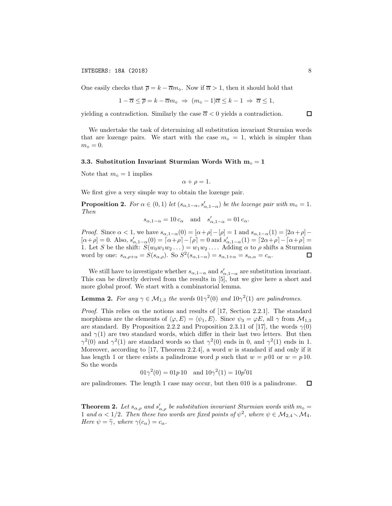One easily checks that  $\bar{\rho} = k - \bar{\alpha} m_{\phi}$ . Now if  $\bar{\alpha} > 1$ , then it should hold that

$$
1 - \overline{\alpha} \leq \overline{\rho} = k - \overline{\alpha} m_{\diamond} \implies (m_{\diamond} - 1)\overline{\alpha} \leq k - 1 \implies \overline{\alpha} \leq 1,
$$

yielding a contradiction. Similarly the case  $\overline{\alpha} < 0$  yields a contradiction.

We undertake the task of determining all substitution invariant Sturmian words that are lozenge pairs. We start with the case  $m_{\phi} = 1$ , which is simpler than  $m_{\diamond} = 0.$ 

#### 3.3. Substitution Invariant Sturmian Words With  $m_0 = 1$

Note that  $m_{\diamond} = 1$  implies

$$
\alpha + \rho = 1.
$$

We first give a very simple way to obtain the lozenge pair.

**Proposition 2.** *For*  $\alpha \in (0,1)$  *let*  $(s_{\alpha,1-\alpha}, s'_{\alpha,1-\alpha})$  *be the lozenge pair with*  $m_{\diamond} = 1$ *. Then*

$$
s_{\alpha,1-\alpha} = 10 c_{\alpha}
$$
 and  $s'_{\alpha,1-\alpha} = 01 c_{\alpha}$ .

*Proof.* Since  $\alpha < 1$ , we have  $s_{\alpha,1-\alpha}(0) = [\alpha+\rho]-[\rho] = 1$  and  $s_{\alpha,1-\alpha}(1) = [2\alpha+\rho] [\alpha + \rho] = 0$ . Also,  $s'_{\alpha,1-\alpha}(0) = [\alpha + \rho] - [\rho] = 0$  and  $s'_{\alpha,1-\alpha}(1) = [2\alpha + \rho] - [\alpha + \rho] =$ 1. Let *S* be the shift:  $S(w_0w_1w_2\dots) = w_1w_2\dots$ . Adding  $\alpha$  to  $\rho$  shifts a Sturmian word by one:  $s_{\alpha,\rho+\alpha} = S(s_{\alpha,\rho})$ . So  $S^2(s_{\alpha,1-\alpha}) = s_{\alpha,1+\alpha} = s_{\alpha,\alpha} = c_{\alpha}$ . □

We still have to investigate whether  $s_{\alpha,1-\alpha}$  and  $s'_{\alpha,1-\alpha}$  are substitution invariant. This can be directly derived from the results in [5], but we give here a short and more global proof. We start with a combinatorial lemma.

**Lemma 2.** *For any*  $\gamma \in M_{1,3}$  *the words*  $01\gamma^2(0)$  *and*  $10\gamma^2(1)$  *are palindromes.* 

*Proof.* This relies on the notions and results of [17, Section 2.2.1]. The standard morphisms are the elements of  $\langle \varphi, E \rangle = \langle \psi_1, E \rangle$ . Since  $\psi_3 = \varphi E$ , all  $\gamma$  from  $\mathcal{M}_{1,3}$ are standard. By Proposition 2.2.2 and Proposition 2.3.11 of [17], the words  $\gamma(0)$ and  $\gamma(1)$  are two standard words, which differ in their last two letters. But then  $\gamma^2(0)$  and  $\gamma^2(1)$  are standard words so that  $\gamma^2(0)$  ends in 0, and  $\gamma^2(1)$  ends in 1. Moreover, according to [17, Theorem 2.2.4], a word *w* is standard if and only if it has length 1 or there exists a palindrome word p such that  $w = p \cdot 01$  or  $w = p \cdot 10$ . So the words

$$
01\gamma^2(0) = 01p10 \quad \text{and } 10\gamma^2(1) = 10p'01
$$

are palindromes. The length 1 case may occur, but then 010 is a palindrome.  $\Box$ 

**Theorem 2.** Let  $s_{\alpha,\rho}$  and  $s'_{\alpha,\rho}$  be substitution invariant Sturmian words with  $m_{\phi} =$ 1 *and*  $\alpha$  < 1/2*.* Then these two words are fixed points of  $\psi^2$ , where  $\psi \in M_{2,4} \setminus M_4$ . *Here*  $\psi = \tilde{\gamma}$ *, where*  $\gamma(c_{\alpha}) = c_{\alpha}$ *.* 

 $\Box$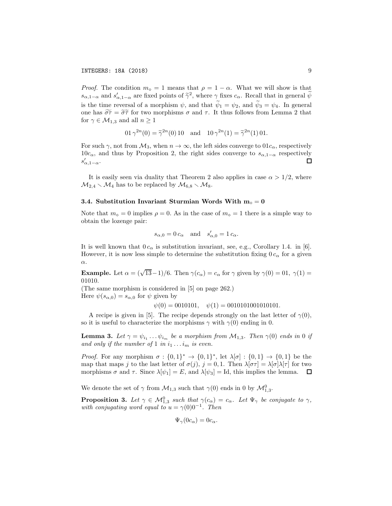*Proof.* The condition  $m_{\phi} = 1$  means that  $\rho = 1 - \alpha$ . What we will show is that  $s_{\alpha,1-\alpha}$  and  $s'_{\alpha,1-\alpha}$  are fixed points of  $\widetilde{\gamma}^2$ , where  $\gamma$  fixes  $c_{\alpha}$ . Recall that in general  $\widetilde{\psi}$ is the time reversal of a morphism  $\psi$ , and that  $\tilde{\psi}_1 = \psi_2$ , and  $\tilde{\psi}_3 = \psi_4$ . In general one has  $\widetilde{\sigma}\tau = \widetilde{\sigma}\widetilde{\tau}$  for two morphisms  $\sigma$  and  $\tau$ . It thus follows from Lemma 2 that for  $\gamma \in \mathcal{M}_{1,3}$  and all  $n \geq 1$ 

$$
01 \gamma^{2n}(0) = \tilde{\gamma}^{2n}(0) 10
$$
 and  $10 \gamma^{2n}(1) = \tilde{\gamma}^{2n}(1) 01$ .

For such  $\gamma$ , not from  $\mathcal{M}_3$ , when  $n \to \infty$ , the left sides converge to  $01c_\alpha$ , respectively 10*c*<sub>α</sub>, and thus by Proposition 2, the right sides converge to  $s_{\alpha,1-\alpha}$  respectively  $s'_{\alpha,1-\alpha}$ : □  $s'_{\alpha,1-\alpha}$ .

It is easily seen via duality that Theorem 2 also applies in case  $\alpha > 1/2$ , where  $M_{2,4} \setminus M_4$  has to be replaced by  $M_{6,8} \setminus M_8$ .

#### 3.4. Substitution Invariant Sturmian Words With  $m_0 = 0$

Note that  $m_{\circ} = 0$  implies  $\rho = 0$ . As in the case of  $m_{\circ} = 1$  there is a simple way to obtain the lozenge pair:

$$
s_{\alpha,0} = 0 \, c_{\alpha} \quad \text{and} \quad s_{\alpha,0}' = 1 \, c_{\alpha}.
$$

It is well known that  $0 c_{\alpha}$  is substitution invariant, see, e.g., Corollary 1.4. in [6]. However, it is now less simple to determine the substitution fixing  $0 c_{\alpha}$  for a given α.

**Example.** Let  $\alpha = (\sqrt{13}-1)/6$ . Then  $\gamma(c_{\alpha}) = c_{\alpha}$  for  $\gamma$  given by  $\gamma(0) = 0.1$ ,  $\gamma(1) =$ 01010*.*

(The same morphism is considered in [5] on page 262.)

Here  $\psi(s_{\alpha,0}) = s_{\alpha,0}$  for  $\psi$  given by

 $\psi(0) = 0010101, \quad \psi(1) = 00101010010101.$ 

A recipe is given in [5]. The recipe depends strongly on the last letter of  $\gamma(0)$ , so it is useful to characterize the morphisms  $\gamma$  with  $\gamma(0)$  ending in 0.

**Lemma 3.** Let  $\gamma = \psi_{i_1} \dots \psi_{i_m}$  be a morphism from  $M_{1,3}$ . Then  $\gamma(0)$  ends in 0 if and only if the number of 1 in  $i_1 \ldots i_m$  is even.

*Proof.* For any morphism  $\sigma : \{0,1\}^* \to \{0,1\}^*$ , let  $\lambda[\sigma] : \{0,1\} \to \{0,1\}$  be the map that maps *j* to the last letter of  $\sigma(j)$ ,  $j = 0, 1$ . Then  $\lambda[\sigma\tau] = \lambda[\sigma]\lambda[\tau]$  for two morphisms  $\sigma$  and  $\tau$ . Since  $\lambda[\psi_1] = E$ , and  $\lambda[\psi_3] = \text{Id}$ , this implies the lemma.  $\Box$ 

We denote the set of  $\gamma$  from  $\mathcal{M}_{1,3}$  such that  $\gamma(0)$  ends in 0 by  $\mathcal{M}_{1,3}^0$ .

**Proposition 3.** Let  $\gamma \in M_{1,3}^0$  such that  $\gamma(c_\alpha) = c_\alpha$ . Let  $\Psi_\gamma$  be conjugate to  $\gamma$ , *with conjugating word equal to*  $u = \gamma(0)0^{-1}$ *. Then* 

$$
\Psi_{\gamma}(0c_{\alpha})=0c_{\alpha}.
$$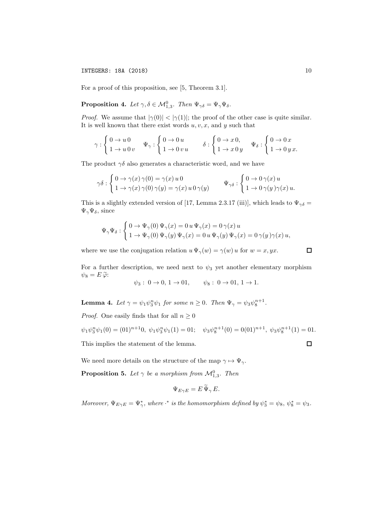### INTEGERS: 18A (2018) 10

For a proof of this proposition, see [5, Theorem 3.1].

**Proposition 4.** Let  $\gamma, \delta \in \mathcal{M}_{1,3}^0$ . Then  $\Psi_{\gamma\delta} = \Psi_{\gamma}\Psi_{\delta}$ .

*Proof.* We assume that  $|\gamma(0)| < |\gamma(1)|$ ; the proof of the other case is quite similar. It is well known that there exist words *u, v, x,* and *y* such that

$$
\gamma: \left\{ \begin{aligned} 0 \rightarrow u \, 0 \\ 1 \rightarrow u \, 0 \, v \end{aligned} \right. \qquad \Psi_{\gamma}: \left\{ \begin{aligned} 0 \rightarrow 0 \, u \\ 1 \rightarrow 0 \, v \, u \end{aligned} \right. \qquad \delta: \left\{ \begin{aligned} 0 \rightarrow x \, 0, \\ 1 \rightarrow x \, 0 \, y \end{aligned} \right. \qquad \Psi_{\delta}: \left\{ \begin{aligned} 0 \rightarrow 0 \, x \\ 1 \rightarrow 0 \, y \, x. \end{aligned} \right.
$$

The product  $\gamma\delta$  also generates a characteristic word, and we have

$$
\gamma \delta : \begin{cases} 0 \to \gamma(x) \gamma(0) = \gamma(x) u 0 \\ 1 \to \gamma(x) \gamma(0) \gamma(y) = \gamma(x) u 0 \gamma(y) \end{cases} \qquad \Psi_{\gamma \delta} : \begin{cases} 0 \to 0 \gamma(x) u \\ 1 \to 0 \gamma(y) \gamma(x) u. \end{cases}
$$

This is a slightly extended version of [17, Lemma 2.3.17 (iii)], which leads to  $\Psi_{\gamma\delta}$  =  $\Psi_{\gamma}\Psi_{\delta}$ , since

$$
\Psi_{\gamma} \Psi_{\delta} : \left\{ \begin{aligned} &0 \rightarrow \Psi_{\gamma}(0) \, \Psi_{\gamma}(x) = 0 \, u \, \Psi_{\gamma}(x) = 0 \, \gamma(x) \, u \\ &1 \rightarrow \Psi_{\gamma}(0) \, \Psi_{\gamma}(y) \, \Psi_{\gamma}(x) = 0 \, u \, \Psi_{\gamma}(y) \, \Psi_{\gamma}(x) = 0 \, \gamma(y) \, \gamma(x) \, u, \end{aligned} \right.
$$

where we use the conjugation relation  $u \Psi_{\gamma}(w) = \gamma(w) u$  for  $w = x, yx$ .

For a further description, we need next to  $\psi_3$  yet another elementary morphism  $\psi_8 = E \widetilde{\varphi}$ :

$$
\psi_3: 0 \to 0, 1 \to 01, \quad \psi_8: 0 \to 01, 1 \to 1.
$$

**Lemma 4.** Let  $\gamma = \psi_1 \psi_3^n \psi_1$  for some  $n \geq 0$ . Then  $\Psi_{\gamma} = \psi_3 \psi_8^{n+1}$ .

*Proof.* One easily finds that for all  $n \geq 0$ 

$$
\psi_1 \psi_3^n \psi_1(0) = (01)^{n+1} 0, \ \psi_1 \psi_3^n \psi_1(1) = 01; \quad \psi_3 \psi_8^{n+1}(0) = 0(01)^{n+1}, \ \psi_3 \psi_8^{n+1}(1) = 01.
$$
  
This implies the statement of the lemma.

We need more details on the structure of the map  $\gamma \mapsto \Psi_{\gamma}$ .

**Proposition 5.** Let  $\gamma$  be a morphism from  $\mathcal{M}_{1,3}^0$ . Then

$$
\Psi_{E\gamma E} = E \Psi_{\gamma} E.
$$

*Moreover,*  $\Psi_{E\gamma E} = \Psi_{\gamma}^{*}$ *, where ·*\* *is the homomorphism defined by*  $\psi_{3}^{*} = \psi_{8}$ *,*  $\psi_{8}^{*} = \psi_{3}$ *.* 

 $\Box$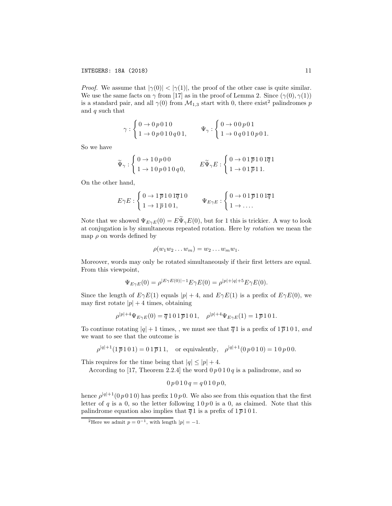*Proof.* We assume that  $|\gamma(0)| < |\gamma(1)|$ , the proof of the other case is quite similar. We use the same facts on  $\gamma$  from [17] as in the proof of Lemma 2. Since  $(\gamma(0), \gamma(1))$ is a standard pair, and all  $\gamma(0)$  from  $\mathcal{M}_{1,3}$  start with 0, there exist<sup>2</sup> palindromes *p* and *q* such that

$$
\gamma: \begin{cases} 0\to 0\,p\,0\,1\,0 \\ 1\to 0\,p\,0\,1\,0\,q\,0\,1, \end{cases} \qquad \Psi_\gamma: \begin{cases} 0\to 0\,0\,p\,0\,1 \\ 1\to 0\,q\,0\,1\,0\,p\,0\,1. \end{cases}
$$

So we have

$$
\widetilde{\Psi}_{\gamma} : \begin{cases} 0\to 1\,0\,p\,0\,0 \\ 1\to 1\,0\,p\,0\,1\,0\,q\,0, \end{cases} \qquad E\widetilde{\Psi}_{\gamma}E : \begin{cases} 0\to 0\,1\,\overline{p}\,1\,0\,1\overline{q}\,1 \\ 1\to 0\,1\,\overline{p}\,1\,1. \end{cases}
$$

On the other hand,

$$
E\gamma E: \begin{cases} 0 \to 1\,\overline{p}\,1\,0\,1\overline{q}\,1\,0 \\ 1 \to 1\,\overline{p}\,1\,0\,1, \end{cases} \qquad \Psi_{E\gamma E}: \begin{cases} 0 \to 0\,1\,\overline{p}\,1\,0\,1\overline{q}\,1 \\ 1 \to \ldots \end{cases}
$$

Note that we showed  $\Psi_{E\gamma E}(0) = E\widetilde{\Psi}_{\gamma}E(0)$ , but for 1 this is trickier. A way to look at conjugation is by simultaneous repeated rotation. Here by *rotation* we mean the map  $\rho$  on words defined by

$$
\rho(w_1w_2\ldots w_m)=w_2\ldots w_mw_1.
$$

Moreover, words may only be rotated simultaneously if their first letters are equal. From this viewpoint,

$$
\Psi_{E\gamma E}(0) = \rho^{|E\gamma E(0)| - 1} E\gamma E(0) = \rho^{|p| + |q| + 5} E\gamma E(0).
$$

Since the length of  $E\gamma E(1)$  equals  $|p|+4$ , and  $E\gamma E(1)$  is a prefix of  $E\gamma E(0)$ , we may first rotate  $|p| + 4$  times, obtaining

$$
\rho^{|p|+4}\Psi_{E\gamma E}(0) = \overline{q} 101\overline{p} 101, \quad \rho^{|p|+4}\Psi_{E\gamma E}(1) = 1\overline{p} 101.
$$

To continue rotating  $|q| + 1$  times,, we must see that  $\overline{q} 1$  is a prefix of  $1 \overline{p} 1 0 1$ , and we want to see that the outcome is

 $\rho^{|q|+1}(1 \overline{p} 1 0 1) = 0 1 \overline{p} 1 1$ , or equivalently,  $\rho^{|q|+1}(0 \, p \, 0 1 0) = 1 0 \, p \, 0 0$ .

This requires for the time being that  $|q| \leq |p| + 4$ .

According to [17, Theorem 2.2.4] the word  $0 \, p \, 0 \, 1 \, 0 \, q$  is a palindrome, and so

$$
0 p 0 1 0 q = q 0 1 0 p 0,
$$

hence  $\rho^{|q|+1}(0 \, p \, 0 \, 1 \, 0)$  has prefix 1 0 p 0. We also see from this equation that the first letter of  $q$  is a 0, so the letter following  $10p0$  is a 0, as claimed. Note that this palindrome equation also implies that  $\overline{q}$  1 is a prefix of  $1\overline{p}$  101.

<sup>&</sup>lt;sup>2</sup>Here we admit  $p = 0^{-1}$ , with length  $|p| = -1$ .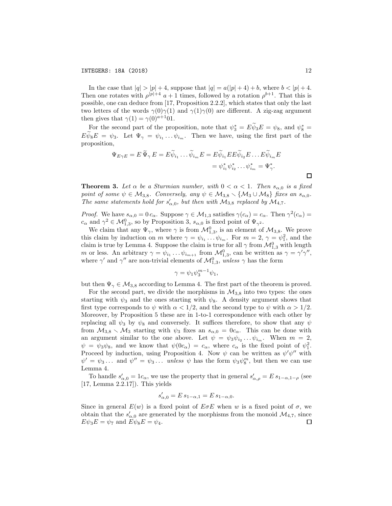In the case that  $|q| > |p| + 4$ , suppose that  $|q| = a(|p| + 4) + b$ , where  $b < |p| + 4$ . Then one rotates with  $\rho^{p+4}$  *a* + 1 times, followed by a rotation  $\rho^{b+1}$ . That this is possible, one can deduce from [17, Proposition 2.2.2], which states that only the last two letters of the words  $\gamma(0)\gamma(1)$  and  $\gamma(1)\gamma(0)$  are different. A zig-zag argument then gives that  $\gamma(1) = \gamma(0)^{a+1}01$ .

For the second part of the proposition, note that  $\psi_3^* = E \psi_3 E = \psi_8$ , and  $\psi_8^* =$  $E\psi_8 E = \psi_3$ . Let  $\Psi_\gamma = \psi_{i_1} \dots \psi_{i_m}$ . Then we have, using the first part of the proposition,

$$
\Psi_{E\gamma E} = E \, \widetilde{\Psi}_{\gamma} E = E \widetilde{\psi}_{i_1} \dots \widetilde{\psi}_{i_m} E = E \widetilde{\psi}_{i_1} E E \widetilde{\psi}_{i_2} E \dots E \widetilde{\psi}_{i_m} E
$$
\n
$$
= \psi_{i_1}^* \psi_{i_2}^* \dots \psi_{i_m}^* = \Psi_{\gamma}^*.
$$

**Theorem 3.** Let  $\alpha$  be a Sturmian number, with  $0 < \alpha < 1$ . Then  $s_{\alpha,0}$  is a fixed *point of some*  $\psi \in M_{3,8}$ *. Conversely, any*  $\psi \in M_{3,8} \setminus \{M_3 \cup M_8\}$  *fixes an*  $s_{\alpha,0}$ *. The same statements hold for*  $s'_{\alpha,0}$ , but then with  $M_{3,8}$  *replaced by*  $M_{4,7}$ *.* 

*Proof.* We have  $s_{\alpha,0} = 0 c_{\alpha}$ . Suppose  $\gamma \in M_{1,3}$  satisfies  $\gamma(c_{\alpha}) = c_{\alpha}$ . Then  $\gamma^2(c_{\alpha}) =$  $c_{\alpha}$  and  $\gamma^2 \in \mathcal{M}_{1,3}^0$ , so by Proposition 3,  $s_{\alpha,0}$  is fixed point of  $\Psi_{\gamma^2}$ .

We claim that any  $\Psi_{\gamma}$ , where  $\gamma$  is from  $\mathcal{M}_{1,3}^0$ , is an element of  $\mathcal{M}_{3,8}$ . We prove this claim by induction on *m* where  $\gamma = \psi_{i_1} \dots \psi_{i_m}$ . For  $m = 2$ ,  $\gamma = \psi_1^2$ , and the claim is true by Lemma 4. Suppose the claim is true for all  $\gamma$  from  $\mathcal{M}_{1,3}^0$  with length *m* or less. An arbitrary  $\gamma = \psi_{i_1} \dots \psi_{i_{m+1}}$  from  $\mathcal{M}_{1,3}^0$ , can be written as  $\gamma = \gamma' \gamma''$ , where  $\gamma'$  and  $\gamma''$  are non-trivial elements of  $\mathcal{M}_{1,3}^0$ , *unless*  $\gamma$  has the form

$$
\gamma = \psi_1 \psi_3^{m-1} \psi_1,
$$

but then  $\Psi_{\gamma} \in \mathcal{M}_{3,8}$  according to Lemma 4. The first part of the theorem is proved.

For the second part, we divide the morphisms in  $M_{3,8}$  into two types: the ones starting with  $\psi_3$  and the ones starting with  $\psi_8$ . A density argument shows that first type corresponds to  $\psi$  with  $\alpha < 1/2$ , and the second type to  $\psi$  with  $\alpha > 1/2$ . Moreover, by Proposition 5 these are in 1-to-1 correspondence with each other by replacing all  $\psi_3$  by  $\psi_8$  and conversely. It suffices therefore, to show that any  $\psi$ from  $M_{3,8} \setminus M_3$  starting with  $\psi_3$  fixes an  $s_{\alpha,0} = 0c_\alpha$ . This can be done with an argument similar to the one above. Let  $\psi = \psi_3 \psi_{i_2} \dots \psi_{i_m}$ . When  $m = 2$ ,  $\psi = \psi_3 \psi_8$ , and we know that  $\psi(0c_\alpha) = c_\alpha$ , where  $c_\alpha$  is the fixed point of  $\psi_1^2$ . Proceed by induction, using Proposition 4. Now  $\psi$  can be written as  $\psi'\psi''$  with  $\psi' = \psi_3 \dots$  and  $\psi'' = \psi_3 \dots$  *unless*  $\psi$  has the form  $\psi_3 \psi_8^m$ , but then we can use Lemma 4.

To handle  $s'_{\alpha,0} = 1c_{\alpha}$ , we use the property that in general  $s'_{\alpha,\rho} = E s_{1-\alpha,1-\rho}$  (see [17, Lemma 2.2.17]). This yields

$$
s'_{\alpha,0} = E \, s_{1-\alpha,1} = E \, s_{1-\alpha,0}.
$$

Since in general  $E(w)$  is a fixed point of  $E \sigma E$  when *w* is a fixed point of  $\sigma$ , we obtain that the  $s'_{\alpha,0}$  are generated by the morphisms from the monoid  $\mathcal{M}_{4,7}$ , since  $E\psi_3E = \psi_7$  and  $E\psi_8E = \psi_4$ .

 $\Box$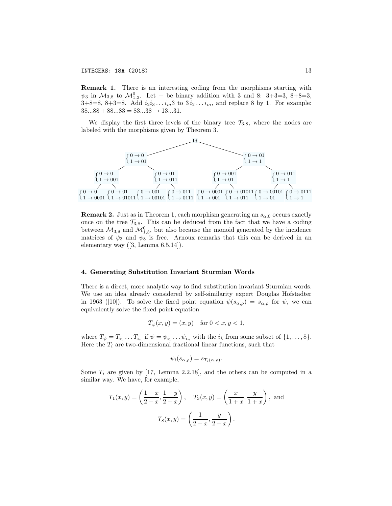Remark 1. There is an interesting coding from the morphisms starting with  $\psi_3$  in  $\mathcal{M}_{3,8}$  to  $\mathcal{M}_{1,3}^0$ . Let + be binary addition with 3 and 8: 3+3=3, 8+8=3, 3+8=8, 8+3=8. Add  $i_2i_3 \t ... i_m3$  to  $3i_2 ... i_m$ , and replace 8 by 1. For example:  $38...88 + 88...83 = 83...38 \rightarrow 13...31.$ 

We display the first three levels of the binary tree  $\mathcal{T}_{3,8}$ , where the nodes are labeled with the morphisms given by Theorem 3.



**Remark 2.** Just as in Theorem 1, each morphism generating an  $s_{\alpha,0}$  occurs exactly once on the tree  $\mathcal{T}_{3,8}$ . This can be deduced from the fact that we have a coding between  $\mathcal{M}_{3,8}$  and  $\mathcal{M}_{1,3}^0$ , but also because the monoid generated by the incidence matrices of  $\psi_3$  and  $\psi_8$  is free. Arnoux remarks that this can be derived in an elementary way ([3, Lemma 6.5.14]).

#### 4. Generating Substitution Invariant Sturmian Words

There is a direct, more analytic way to find substitution invariant Sturmian words. We use an idea already considered by self-similarity expert Douglas Hofstadter in 1963 ([10]). To solve the fixed point equation  $\psi(s_{\alpha,\rho}) = s_{\alpha,\rho}$  for  $\psi$ , we can equivalently solve the fixed point equation

$$
T_{\psi}(x, y) = (x, y) \text{ for } 0 < x, y < 1,
$$

where  $T_{\psi} = T_{i_1} \dots T_{i_n}$  if  $\psi = \psi_{i_1} \dots \psi_{i_n}$  with the  $i_k$  from some subset of  $\{1, \dots, 8\}$ . Here the  $T_i$  are two-dimensional fractional linear functions, such that

$$
\psi_i(s_{\alpha,\rho}) = s_{T_i(\alpha,\rho)}.
$$

Some  $T_i$  are given by [17, Lemma 2.2.18], and the others can be computed in a similar way. We have, for example,

$$
T_1(x, y) = \left(\frac{1-x}{2-x}, \frac{1-y}{2-x}\right), \quad T_3(x, y) = \left(\frac{x}{1+x}, \frac{y}{1+x}\right), \text{ and}
$$
  
 $T_8(x, y) = \left(\frac{1}{2-x}, \frac{y}{2-x}\right).$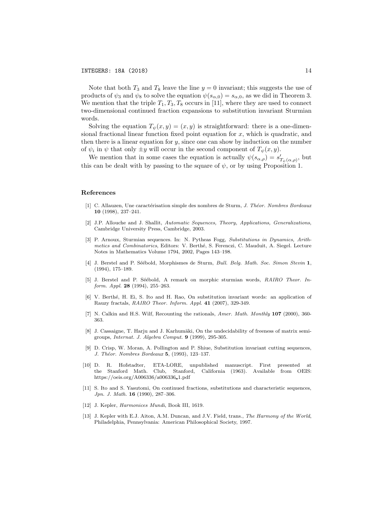Note that both  $T_3$  and  $T_8$  leave the line  $y = 0$  invariant; this suggests the use of products of  $\psi_3$  and  $\psi_8$  to solve the equation  $\psi(s_{\alpha,0}) = s_{\alpha,0}$ , as we did in Theorem 3. We mention that the triple  $T_1, T_3, T_8$  occurs in [11], where they are used to connect two-dimensional continued fraction expansions to substitution invariant Sturmian words.

Solving the equation  $T_{\psi}(x, y)=(x, y)$  is straightforward: there is a one-dimensional fractional linear function fixed point equation for *x*, which is quadratic, and then there is a linear equation for  $y$ , since one can show by induction on the number of  $\psi_i$  in  $\psi$  that only  $\pm y$  will occur in the second component of  $T_{\psi}(x, y)$ .

We mention that in some cases the equation is actually  $\psi(s_{\alpha,\rho}) = s'_{T_{\psi}(\alpha,\rho)}$ , but this can be dealt with by passing to the square of  $\psi$ , or by using Proposition 1.

#### References

- [1] C. Allauzen, Une caract´erisation simple des nombres de Sturm, *J. Th´eor. Nombres Bordeaux* 10 (1998), 237–241.
- [2] J.P. Allouche and J. Shallit, *Automatic Sequences, Theory, Applications, Generalizations*, Cambridge University Press, Cambridge, 2003.
- [3] P. Arnoux, Sturmian sequences. In: N. Pytheas Fogg, *Substitutions in Dynamics, Arithmetics and Combinatorics*, Editors: V. Berth´e, S. Ferenczi, C. Mauduit, A. Siegel. Lecture Notes in Mathematics Volume 1794, 2002, Pages 143–198.
- [4] J. Berstel and P. S´e´ebold, Morphismes de Sturm, *Bull. Belg. Math. Soc. Simon Stevin* 1, (1994), 175–189.
- [5] J. Berstel and P. Séébold, A remark on morphic sturmian words, *RAIRO Theor. Inform. Appl.* 28 (1994), 255–263.
- [6] V. Berth´e, H. Ei, S. Ito and H. Rao, On substitution invariant words: an application of Rauzy fractals, *RAIRO Theor. Inform. Appl.* 41 (2007), 329-349.
- [7] N. Calkin and H.S. Wilf, Recounting the rationals, *Amer. Math. Monthly* 107 (2000), 360- 363.
- [8] J. Cassaigne, T. Harju and J. Karhumäki, On the undecidability of freeness of matrix semigroups, *Internat. J. Algebra Comput.* 9 (1999), 295-305.
- [9] D. Crisp, W. Moran, A. Pollington and P. Shiue, Substitution invariant cutting sequences, *J. Th´eor. Nombres Bordeaux* 5, (1993), 123–137.
- [10] D. R. Hofstadter, ETA-LORE, unpublished manuscript. First presented at the Stanford Math. Club, Stanford, California (1963). Available from OEIS: https://oeis.org/A006336/a006336 1.pdf
- [11] S. Ito and S. Yasutomi, On continued fractions, substitutions and characteristic sequences, *Jpn. J. Math.* 16 (1990), 287–306.
- [12] J. Kepler, *Harmonices Mundi*, Book III, 1619.
- [13] J. Kepler with E.J. Aiton, A.M. Duncan, and J.V. Field, trans., *The Harmony of the World*, Philadelphia, Pennsylvania: American Philosophical Society, 1997.